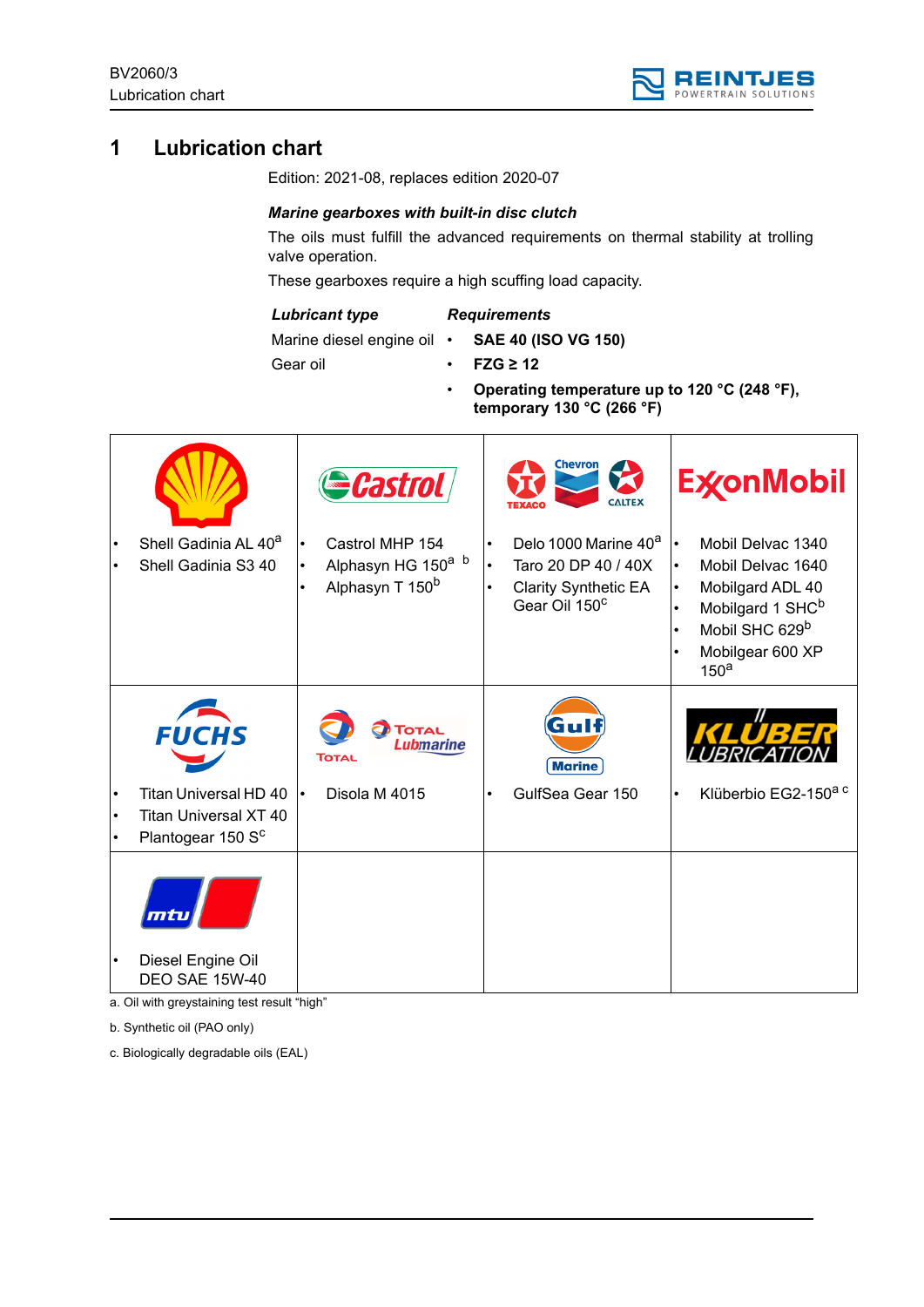

# **1 Lubrication chart**

Edition: 2021-08, replaces edition 2020-07

### *Marine gearboxes with built-in disc clutch*

The oils must fulfill the advanced requirements on thermal stability at trolling valve operation.

These gearboxes require a high scuffing load capacity.

#### *Lubricant type*

## *Requirements*

Marine diesel engine oil •

- **SAE 40 (ISO VG 150)** • **FZG ≥ 12**
- Gear oil
- **Operating temperature up to 120 °C (248 °F),**

**temporary 130 °C (266 °F)**

|           |                                                                                                                                                           | <b>Castrol</b>                                                                                |           | <b>Chevron</b><br><b>CALTEX</b>                                                                                     | <b>ExconMobil</b>                                                                                                                                                                                                                              |
|-----------|-----------------------------------------------------------------------------------------------------------------------------------------------------------|-----------------------------------------------------------------------------------------------|-----------|---------------------------------------------------------------------------------------------------------------------|------------------------------------------------------------------------------------------------------------------------------------------------------------------------------------------------------------------------------------------------|
|           | Shell Gadinia AL 40 <sup>a</sup><br>Shell Gadinia S3 40                                                                                                   | Castrol MHP 154<br>$\bullet$<br>Alphasyn HG 150 <sup>a b</sup><br>Alphasyn T 150 <sup>b</sup> | $\bullet$ | Delo 1000 Marine 40 <sup>a</sup><br>Taro 20 DP 40 / 40X<br><b>Clarity Synthetic EA</b><br>Gear Oil 150 <sup>c</sup> | Mobil Delvac 1340<br>$\bullet$<br>Mobil Delvac 1640<br>$\bullet$<br>Mobilgard ADL 40<br>$\bullet$<br>Mobilgard 1 SHC <sup>b</sup><br>$\bullet$<br>Mobil SHC 629 <sup>b</sup><br>$\bullet$<br>Mobilgear 600 XP<br>$\bullet$<br>150 <sup>a</sup> |
|           | <b>FUCHS</b>                                                                                                                                              | <b>TOTAL</b><br>Lubmarine<br>Тотац                                                            |           | Gull<br><b>Marine</b>                                                                                               | KLUBE                                                                                                                                                                                                                                          |
| $\bullet$ | Titan Universal HD 40<br><b>Titan Universal XT 40</b><br>Plantogear 150 Sc                                                                                | Disola M 4015                                                                                 |           | GulfSea Gear 150                                                                                                    | Klüberbio EG2-150 <sup>a c</sup><br>$\bullet$                                                                                                                                                                                                  |
|           |                                                                                                                                                           |                                                                                               |           |                                                                                                                     |                                                                                                                                                                                                                                                |
|           | Diesel Engine Oil<br><b>DEO SAE 15W-40</b><br>$\bigcap_{i=1}^{n}$ and $i=1,2,3, \ldots$ and $i=1,2,3, \ldots$ and $i=1,2,3, \ldots$ and $i=1,2,3, \ldots$ |                                                                                               |           |                                                                                                                     |                                                                                                                                                                                                                                                |

a. Oil with greystaining test result "high"

b. Synthetic oil (PAO only)

c. Biologically degradable oils (EAL)